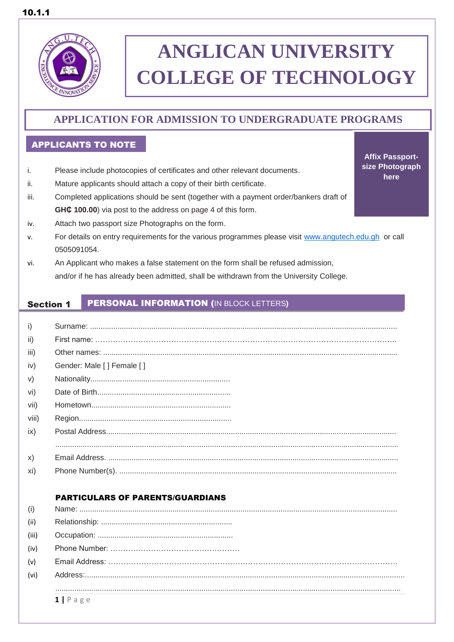

# **ANGLICAN UNIVERSITY COLLEGE OF TECHNOLOGY**

**Affix Passportsize Photograph here**

# **APPLICATION FOR ADMISSION TO UNDERGRADUATE PROGRAMS**

#### I APPLICANTS TO NOTE

- i. Please include photocopies of certificates and other relevant documents.
- ii. Mature applicants should attach a copy of their birth certificate.
- iii. Completed applications should be sent (together with a payment order/bankers draft of **GH¢ 100.00**) via post to the address on page 4 of this form.
- iv. Attach two passport size Photographs on the form.
- v. For details on entry requirements for the various programmes please visit [www.angutech.edu.gh](http://www.angutech.edu.gh/) or call 0505091054.
- vi. An Applicant who makes a false statement on the form shall be refused admission, and/or if he has already been admitted, shall be withdrawn from the University College.

#### Section 1 PERSONAL INFORMATION (IN BLOCK LETTERS**)**

| i)    |                           |
|-------|---------------------------|
| ii)   |                           |
| iii)  |                           |
| iv)   | Gender: Male [] Female [] |
| V)    |                           |
| vi)   |                           |
| vii)  |                           |
| viii) |                           |
| ix)   |                           |
|       |                           |
| X)    |                           |
| xi)   |                           |
|       |                           |

### PARTICULARS OF PARENTS/GUARDIANS

| (i)   |                    |
|-------|--------------------|
| (ii)  |                    |
| (iii) |                    |
| (iv)  |                    |
| (v)   |                    |
| (vi)  |                    |
|       |                    |
|       | $1   P \text{age}$ |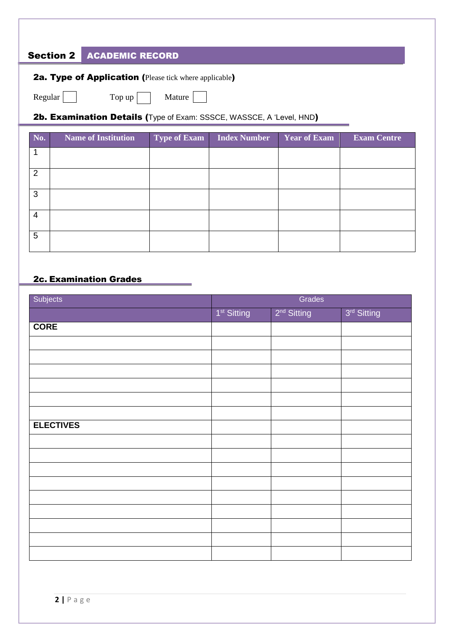## Section 2 ACADEMIC RECORD

|  |  |  | <b>2a. Type of Application (Please tick where applicable)</b> |  |  |
|--|--|--|---------------------------------------------------------------|--|--|
|--|--|--|---------------------------------------------------------------|--|--|

Regular  $\Box$  Top up Mature  $\Box$ 

2b. Examination Details (Type of Exam: SSSCE, WASSCE, A 'Level, HND)

| No.            | <b>Name of Institution</b> | <b>Type of Exam</b> | Index Number | <b>Year of Exam</b> | <b>Exam Centre</b> |
|----------------|----------------------------|---------------------|--------------|---------------------|--------------------|
|                |                            |                     |              |                     |                    |
| 2              |                            |                     |              |                     |                    |
| 3              |                            |                     |              |                     |                    |
| $\overline{4}$ |                            |                     |              |                     |                    |
| 5              |                            |                     |              |                     |                    |

### 2c. Examination Grades

| Subjects         | Grades                  |                         |             |  |  |
|------------------|-------------------------|-------------------------|-------------|--|--|
|                  | 1 <sup>st</sup> Sitting | 2 <sup>nd</sup> Sitting | 3rd Sitting |  |  |
| <b>CORE</b>      |                         |                         |             |  |  |
|                  |                         |                         |             |  |  |
|                  |                         |                         |             |  |  |
|                  |                         |                         |             |  |  |
|                  |                         |                         |             |  |  |
|                  |                         |                         |             |  |  |
|                  |                         |                         |             |  |  |
| <b>ELECTIVES</b> |                         |                         |             |  |  |
|                  |                         |                         |             |  |  |
|                  |                         |                         |             |  |  |
|                  |                         |                         |             |  |  |
|                  |                         |                         |             |  |  |
|                  |                         |                         |             |  |  |
|                  |                         |                         |             |  |  |
|                  |                         |                         |             |  |  |
|                  |                         |                         |             |  |  |
|                  |                         |                         |             |  |  |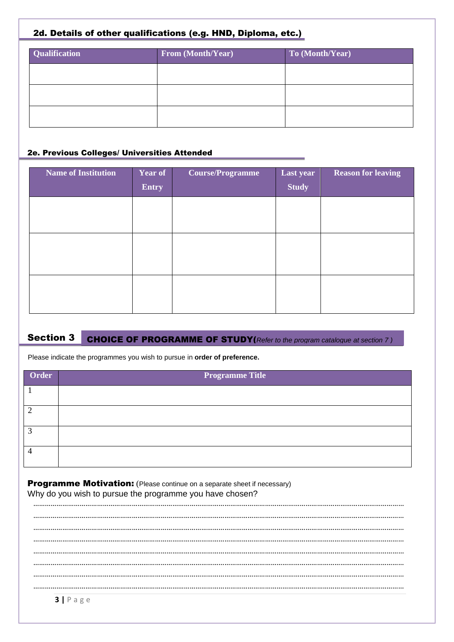### 2d. Details of other qualifications (e.g. HND, Diploma, etc.)

| <b>Qualification</b> | <b>From (Month/Year)</b> | To (Month/Year) |
|----------------------|--------------------------|-----------------|
|                      |                          |                 |
|                      |                          |                 |
|                      |                          |                 |
|                      |                          |                 |

#### 2e. Previous Colleges/ Universities Attended

| <b>Name of Institution</b> | Year of      | <b>Course/Programme</b> | Last year    | <b>Reason for leaving</b> |
|----------------------------|--------------|-------------------------|--------------|---------------------------|
|                            | <b>Entry</b> |                         | <b>Study</b> |                           |
|                            |              |                         |              |                           |
|                            |              |                         |              |                           |
|                            |              |                         |              |                           |
|                            |              |                         |              |                           |
|                            |              |                         |              |                           |
|                            |              |                         |              |                           |
|                            |              |                         |              |                           |

#### Section 3 CHOICE OF PROGRAMME OF STUDY(*Refer to the program catalogue at section 7 )*

Please indicate the programmes you wish to pursue in **order of preference.**

| Order | <b>Programme Title</b> |
|-------|------------------------|
|       |                        |
| ◠     |                        |
| 3     |                        |
|       |                        |

#### Programme Motivation: (Please continue on a separate sheet if necessary) Why do you wish to pursue the programme you have chosen?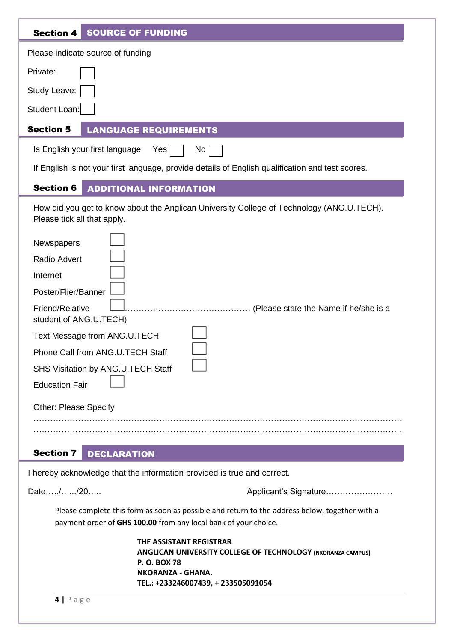| <b>SOURCE OF FUNDING</b><br><b>Section 4</b>                                                                                                                            |  |  |  |  |  |  |
|-------------------------------------------------------------------------------------------------------------------------------------------------------------------------|--|--|--|--|--|--|
| Please indicate source of funding                                                                                                                                       |  |  |  |  |  |  |
| Private:                                                                                                                                                                |  |  |  |  |  |  |
| Study Leave:                                                                                                                                                            |  |  |  |  |  |  |
| Student Loan:                                                                                                                                                           |  |  |  |  |  |  |
| <b>Section 5</b><br><b>LANGUAGE REQUIREMENTS</b>                                                                                                                        |  |  |  |  |  |  |
| Is English your first language<br>Yes<br>No                                                                                                                             |  |  |  |  |  |  |
| If English is not your first language, provide details of English qualification and test scores.                                                                        |  |  |  |  |  |  |
| <b>Section 6</b><br><b>ADDITIONAL INFORMATION</b>                                                                                                                       |  |  |  |  |  |  |
| How did you get to know about the Anglican University College of Technology (ANG.U.TECH).<br>Please tick all that apply.                                                |  |  |  |  |  |  |
| Newspapers                                                                                                                                                              |  |  |  |  |  |  |
| <b>Radio Advert</b>                                                                                                                                                     |  |  |  |  |  |  |
| Internet                                                                                                                                                                |  |  |  |  |  |  |
| Poster/Flier/Banner                                                                                                                                                     |  |  |  |  |  |  |
| Friend/Relative<br>. (Please state the Name if he/she is a<br>student of ANG.U.TECH)                                                                                    |  |  |  |  |  |  |
| Text Message from ANG.U.TECH                                                                                                                                            |  |  |  |  |  |  |
| Phone Call from ANG.U.TECH Staff                                                                                                                                        |  |  |  |  |  |  |
| SHS Visitation by ANG.U.TECH Staff                                                                                                                                      |  |  |  |  |  |  |
| <b>Education Fair</b>                                                                                                                                                   |  |  |  |  |  |  |
| <b>Other: Please Specify</b>                                                                                                                                            |  |  |  |  |  |  |
|                                                                                                                                                                         |  |  |  |  |  |  |
|                                                                                                                                                                         |  |  |  |  |  |  |
| <b>Section 7</b><br><b>DECLARATION</b>                                                                                                                                  |  |  |  |  |  |  |
| I hereby acknowledge that the information provided is true and correct.                                                                                                 |  |  |  |  |  |  |
| Date//20<br>Applicant's Signature                                                                                                                                       |  |  |  |  |  |  |
| Please complete this form as soon as possible and return to the address below, together with a<br>payment order of GHS 100.00 from any local bank of your choice.       |  |  |  |  |  |  |
| THE ASSISTANT REGISTRAR<br><b>ANGLICAN UNIVERSITY COLLEGE OF TECHNOLOGY (NKORANZA CAMPUS)</b><br>P.O. BOX 78<br>NKORANZA - GHANA.<br>TEL.: +233246007439, +233505091054 |  |  |  |  |  |  |

| Δ |  |  |  |
|---|--|--|--|
|---|--|--|--|